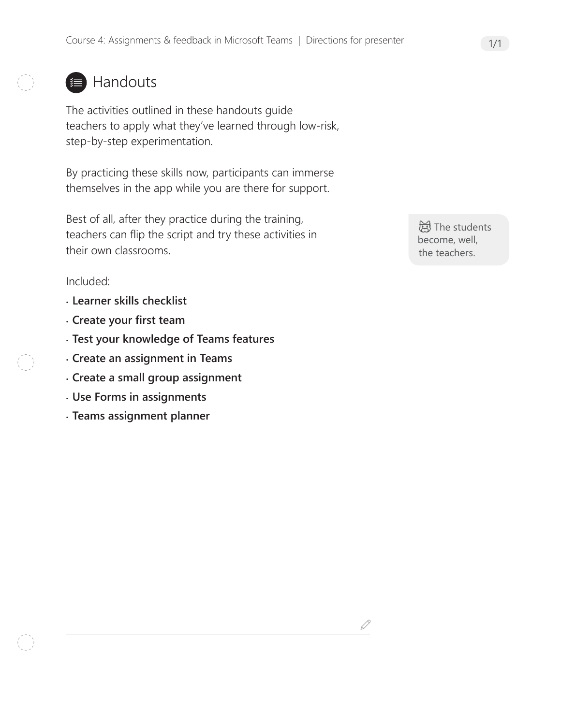## **■ Handouts**

The activities outlined in these handouts guide teachers to apply what they've learned through low-risk, step-by-step experimentation.

By practicing these skills now, participants can immerse themselves in the app while you are there for support.

Best of all, after they practice during the training, teachers can flip the script and try these activities in their own classrooms.

Included:

- **Learner skills checklist**
- **Create your first team**
- **Test your knowledge of Teams features**
- **Create an assignment in Teams**
- **Create a small group assignment**
- **Use Forms in assignments**
- **Teams assignment planner**

**词**The students become, well, the teachers.

 $\mathcal{S}% _{M_{1},M_{2}}^{\alpha,\beta}(\varepsilon)$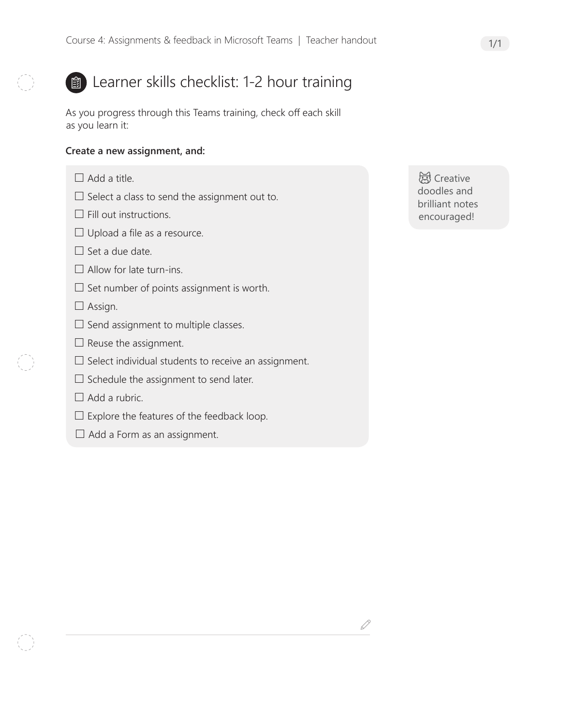### **a**) Learner skills checklist: 1-2 hour training

As you progress through this Teams training, check off each skill as you learn it:

#### **Create a new assignment, and:**

- $\Box$  Add a title.
- $\square$  Select a class to send the assignment out to.
- $\Box$  Fill out instructions.
- $\Box$  Upload a file as a resource.
- $\Box$  Set a due date.
- $\Box$  Allow for late turn-ins.
- $\square$  Set number of points assignment is worth.
- $\Box$  Assign.
- $\square$  Send assignment to multiple classes.
- $\Box$  Reuse the assignment.
- $\square$  Select individual students to receive an assignment.
- $\Box$  Schedule the assignment to send later.
- $\Box$  Add a rubric.
- $\Box$  Explore the features of the feedback loop.
- $\Box$  Add a Form as an assignment.

**总** Creative doodles and brilliant notes encouraged!

 $\mathcal{S}% _{M_{1},M_{2}}^{\alpha,\beta}(\varepsilon)$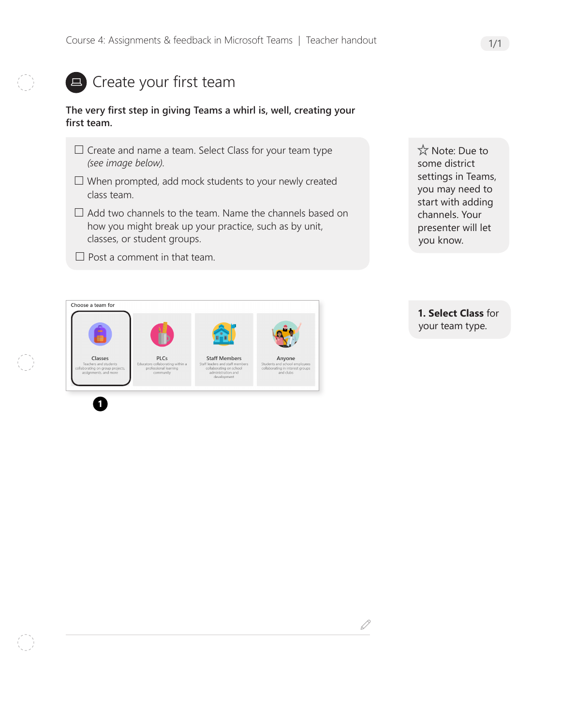### **E** Create your first team

#### **The very first step in giving Teams a whirl is, well, creating your first team.**

- $\Box$  Create and name a team. Select Class for your team type *(see image below)*.
- $\Box$  When prompted, add mock students to your newly created class team.
- $\Box$  Add two channels to the team. Name the channels based on how you might break up your practice, such as by unit, classes, or student groups.
- $\Box$  Post a comment in that team.

☆ Note: Due to some district settings in Teams, you may need to start with adding channels. Your presenter will let you know.



**1. Select Class** for your team type.

 $\mathscr{Q}$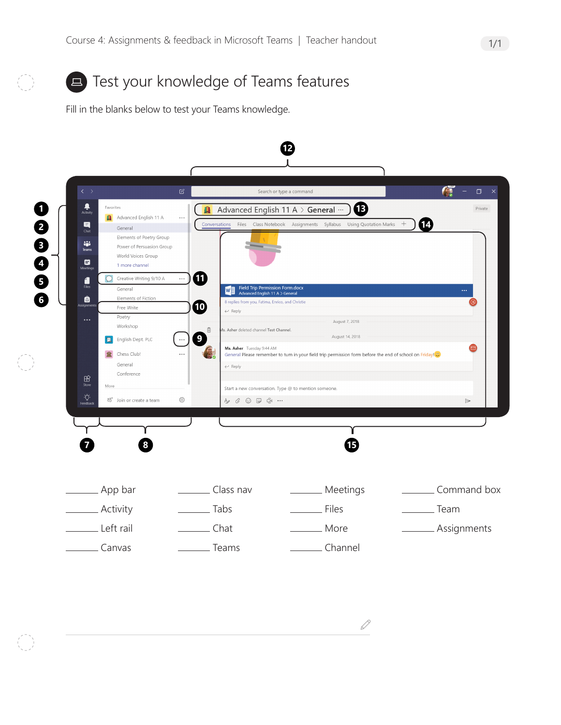

Fill in the blanks below to test your Teams knowledge.



 $\mathscr{Q}$ 

1/1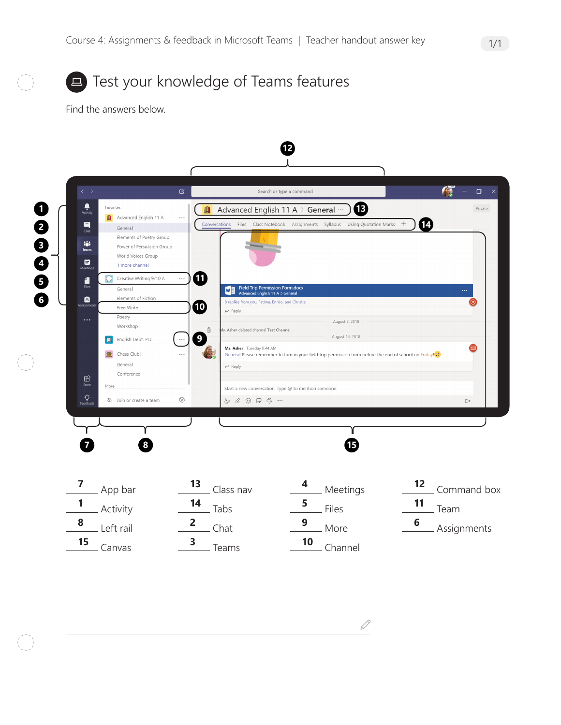

Find the answers below.



 $\mathscr{Q}$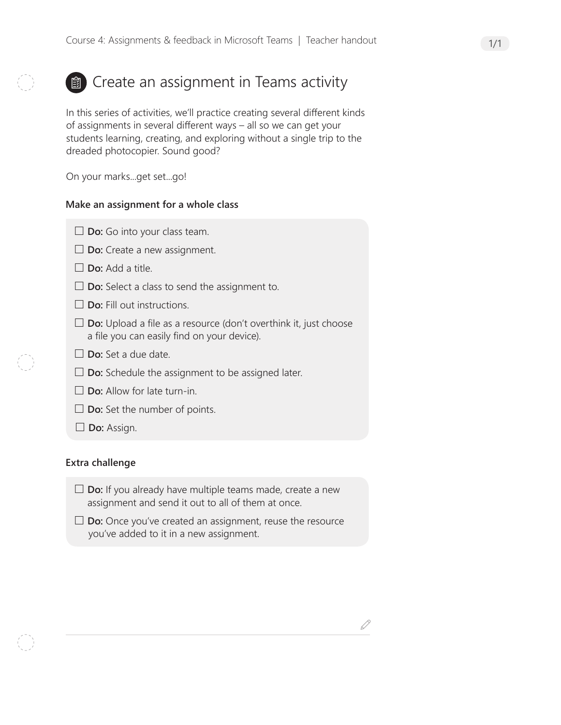# **a**) Create an assignment in Teams activity

In this series of activities, we'll practice creating several different kinds of assignments in several different ways – all so we can get your students learning, creating, and exploring without a single trip to the dreaded photocopier. Sound good?

On your marks...get set...go!

### **Make an assignment for a whole class**

- **Do:** Go into your class team.
- □ **Do:** Create a new assignment.
- **Do:** Add a title.
- **Do:** Select a class to send the assignment to.
- **Do:** Fill out instructions.
- **Do:** Upload a file as a resource (don't overthink it, just choose a file you can easily find on your device).
- **Do:** Set a due date.
- $\square$  **Do:** Schedule the assignment to be assigned later.
- **Do:** Allow for late turn-in.
- □ **Do:** Set the number of points.
- **Do:** Assign.

#### **Extra challenge**

- **Do:** If you already have multiple teams made, create a new assignment and send it out to all of them at once.
- **Do:** Once you've created an assignment, reuse the resource you've added to it in a new assignment.

D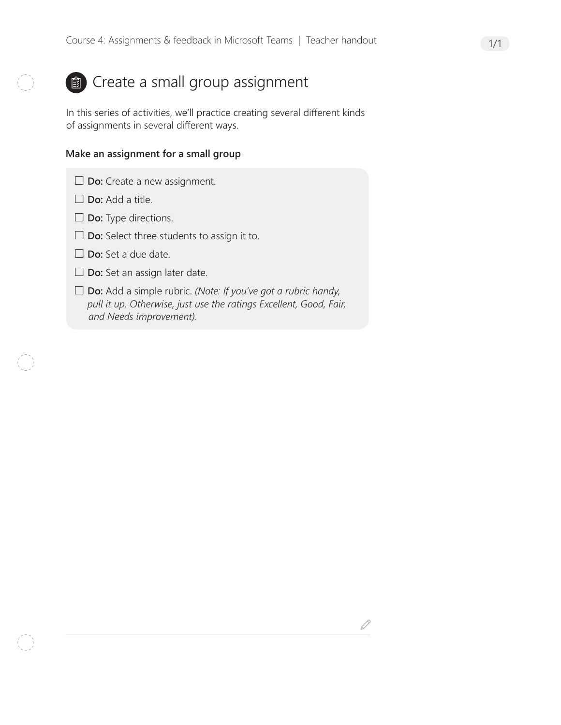### **a**) Create a small group assignment

In this series of activities, we'll practice creating several different kinds of assignments in several different ways.

#### **Make an assignment for a small group**

- □ **Do:** Create a new assignment.
- □ **Do:** Add a title.
- **Do:** Type directions.
- **Do:** Select three students to assign it to.
- **Do:** Set a due date.
- □ **Do:** Set an assign later date.
- **Do:** Add a simple rubric. *(Note: If you've got a rubric handy, pull it up. Otherwise, just use the ratings Excellent, Good, Fair, and Needs improvement).*

 $\mathscr{Q}$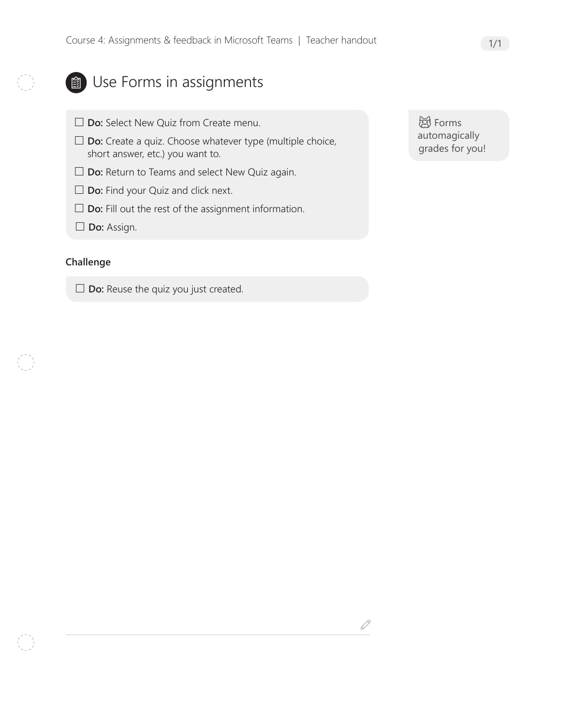### **ED** Use Forms in assignments

- **Do:** Select New Quiz from Create menu.
- **Do:** Create a quiz. Choose whatever type (multiple choice, short answer, etc.) you want to.
- □ **Do:** Return to Teams and select New Quiz again.
- □ **Do:** Find your Quiz and click next.
- □ **Do:** Fill out the rest of the assignment information.
- **Do:** Assign.

#### **Challenge**

□ **Do:** Reuse the quiz you just created.

d Forms automagically grades for you!

 $\mathcal{S}$